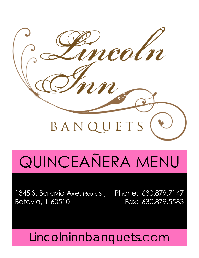

# QUINCEAÑERA MENU

1345 S. Batavia Ave. (Route 31) Batavia, IL 60510

Phone: 630.879.7147 Fax: 630.879.5583

Lincolninnbanquets.com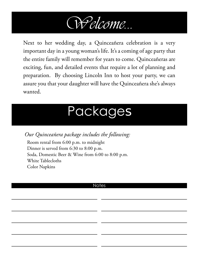

Next to her wedding day, a Quinceañera celebration is a very important day in a young woman's life. It's a coming of age party that the entire family will remember for years to come. Quinceañeras are exciting, fun, and detailed events that require a lot of planning and preparation. By choosing Lincoln Inn to host your party, we can assure you that your daughter will have the Quinceañera she's always wanted.

### Packages

*Our Quinceañera package includes the following:*

Room rental from 6:00 p.m. to midnight Dinner is served from 6:30 to 8:00 p.m. Soda, Domestic Beer & Wine from 6:00 to 8:00 p.m. White Tablecloths Color Napkins

#### **Notes**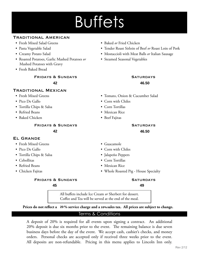## **Buffets**

#### Traditional American

- Fresh Mixed Salad Greens Baked *or* Fried Chicken
- 
- 
- Roasted Potatoes, Garlic Mashed Potatoes *or* Mashed Potatoes with Gravy
- Fresh Baked Bread

**FRIDAYS & SUNDAYS SATURDAYS** 42 46.5 42 46.50 **35.50 41.00 42**

#### Traditional Mexican

- 
- 
- Tortilla Chips & Salsa Corn Tortillas
- 
- Baked Chicken Beef Fajitas

**FRIDAYS & SUNDAYS SATURDAYS** 

**35.50 42**

#### El Grande

- Fresh Mixed Greens Guacamole
- 
- Tortilla Chips & Salsa Jalapeño Peppers
- 
- 
- 

#### **FRIDAYS & SUNDAYS SATURDAYS**

**39.00**

- 
- Pasta Vegetable Salad Tender Roast Sirloin of Beef *or* Roast Loin of Pork
- Creamy Potato Salad Mostaccioli with Meat Balls *or* Italian Sausage
	- Steamed Seasonal Vegetables

### **42.00 46.50**

- Fresh Mixed Greens Tomato, Onion & Cucumber Salad
- Pico De Gallo Corn with Chiles
	-
- Refried Beans Mexican Rice
	-

42 46.5 42 and 37.000 37.000 37.000 37.000 37.000 37.000 37.000 37.000 37.000 37.000 37.000 37.000 37.000 37.000 37.00 **42.00 46.50**

- 
- Pico De Gallo Corn with Chiles
	-
- Cebollitas Corn Tortillas
- Refried Beans Mexican Rice
- Chicken Fajitas Whole Roasted Pig House Specialty

45 and 37.500  $\sim$  49 35.50 39.50 **45.00 45 49**

All buffets include Ice Cream *or* Sherbert for dessert. Coffee and Tea will be served at the end of the meal.

Prices do not reflect a 20% service charge and a 10% sales tax. All prices are subject to change.

#### Terms & Conditions

A deposit of 20% is required for all events upon signing a contract. An additional 20% deposit is due six months prior to the event. The remaining balance is due seven business days before the day of the event. We accept cash, cashier's checks, and money orders. Personal checks are accepted only if received three weeks prior to the event. All deposits are non-refundable. Pricing in this menu applies to Lincoln Inn only.